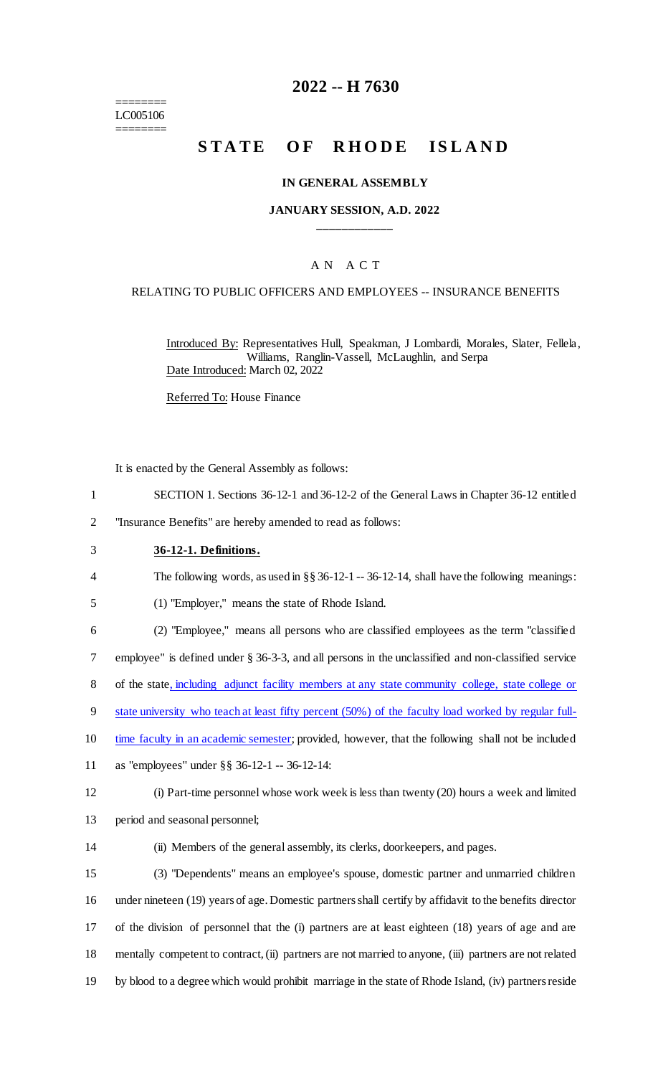======== LC005106 ========

# **2022 -- H 7630**

# **STATE OF RHODE ISLAND**

### **IN GENERAL ASSEMBLY**

### **JANUARY SESSION, A.D. 2022 \_\_\_\_\_\_\_\_\_\_\_\_**

# A N A C T

### RELATING TO PUBLIC OFFICERS AND EMPLOYEES -- INSURANCE BENEFITS

Introduced By: Representatives Hull, Speakman, J Lombardi, Morales, Slater, Fellela, Williams, Ranglin-Vassell, McLaughlin, and Serpa Date Introduced: March 02, 2022

Referred To: House Finance

It is enacted by the General Assembly as follows:

- 1 SECTION 1. Sections 36-12-1 and 36-12-2 of the General Laws in Chapter 36-12 entitled
- 2 "Insurance Benefits" are hereby amended to read as follows:
- 3 **36-12-1. Definitions.**

4 The following words, as used in §§ 36-12-1 -- 36-12-14, shall have the following meanings:

5 (1) "Employer," means the state of Rhode Island.

 (2) "Employee," means all persons who are classified employees as the term "classified employee" is defined under § 36-3-3, and all persons in the unclassified and non-classified service of the state, including adjunct facility members at any state community college, state college or 9 state university who teach at least fifty percent (50%) of the faculty load worked by regular full-

- 10 time faculty in an academic semester; provided, however, that the following shall not be included
- 11 as "employees" under §§ 36-12-1 -- 36-12-14:
- 12 (i) Part-time personnel whose work week is less than twenty (20) hours a week and limited
- 13 period and seasonal personnel;
- 

14 (ii) Members of the general assembly, its clerks, doorkeepers, and pages.

 (3) "Dependents" means an employee's spouse, domestic partner and unmarried children under nineteen (19) years of age. Domestic partners shall certify by affidavit to the benefits director of the division of personnel that the (i) partners are at least eighteen (18) years of age and are mentally competent to contract, (ii) partners are not married to anyone, (iii) partners are not related by blood to a degree which would prohibit marriage in the state of Rhode Island, (iv) partners reside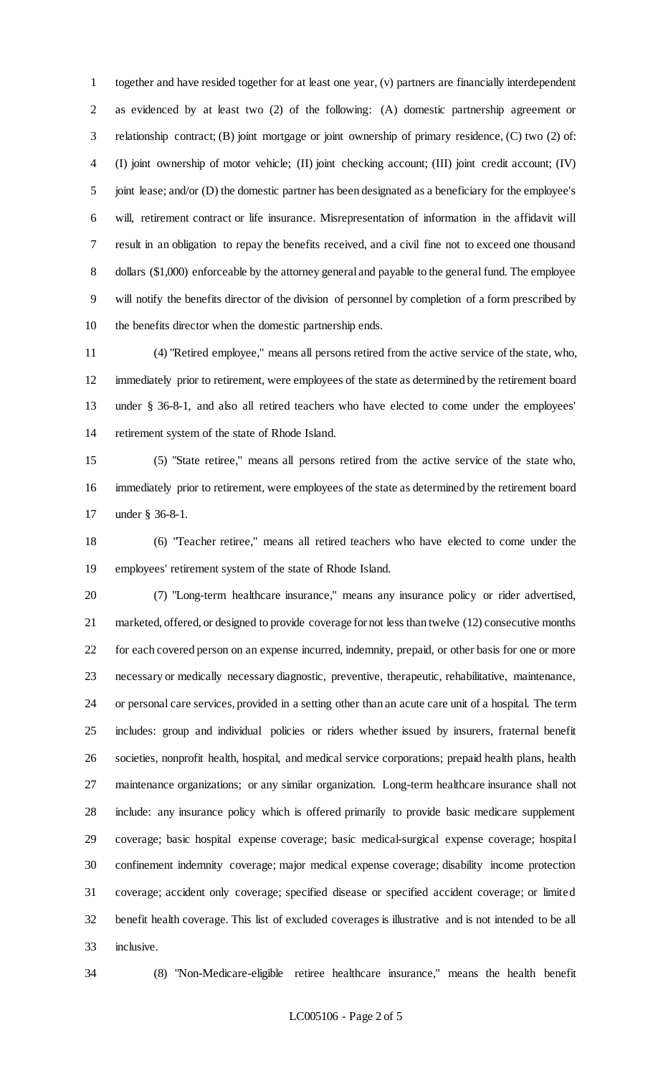together and have resided together for at least one year, (v) partners are financially interdependent as evidenced by at least two (2) of the following: (A) domestic partnership agreement or relationship contract; (B) joint mortgage or joint ownership of primary residence, (C) two (2) of: (I) joint ownership of motor vehicle; (II) joint checking account; (III) joint credit account; (IV) 5 joint lease; and/or (D) the domestic partner has been designated as a beneficiary for the employee's will, retirement contract or life insurance. Misrepresentation of information in the affidavit will result in an obligation to repay the benefits received, and a civil fine not to exceed one thousand dollars (\$1,000) enforceable by the attorney general and payable to the general fund. The employee will notify the benefits director of the division of personnel by completion of a form prescribed by the benefits director when the domestic partnership ends.

 (4) "Retired employee," means all persons retired from the active service of the state, who, immediately prior to retirement, were employees of the state as determined by the retirement board under § 36-8-1, and also all retired teachers who have elected to come under the employees' retirement system of the state of Rhode Island.

 (5) "State retiree," means all persons retired from the active service of the state who, immediately prior to retirement, were employees of the state as determined by the retirement board under § 36-8-1.

 (6) "Teacher retiree," means all retired teachers who have elected to come under the employees' retirement system of the state of Rhode Island.

 (7) "Long-term healthcare insurance," means any insurance policy or rider advertised, marketed, offered, or designed to provide coverage for not less than twelve (12) consecutive months for each covered person on an expense incurred, indemnity, prepaid, or other basis for one or more necessary or medically necessary diagnostic, preventive, therapeutic, rehabilitative, maintenance, or personal care services, provided in a setting other than an acute care unit of a hospital. The term includes: group and individual policies or riders whether issued by insurers, fraternal benefit societies, nonprofit health, hospital, and medical service corporations; prepaid health plans, health maintenance organizations; or any similar organization. Long-term healthcare insurance shall not include: any insurance policy which is offered primarily to provide basic medicare supplement coverage; basic hospital expense coverage; basic medical-surgical expense coverage; hospital confinement indemnity coverage; major medical expense coverage; disability income protection coverage; accident only coverage; specified disease or specified accident coverage; or limited benefit health coverage. This list of excluded coverages is illustrative and is not intended to be all inclusive.

(8) "Non-Medicare-eligible retiree healthcare insurance," means the health benefit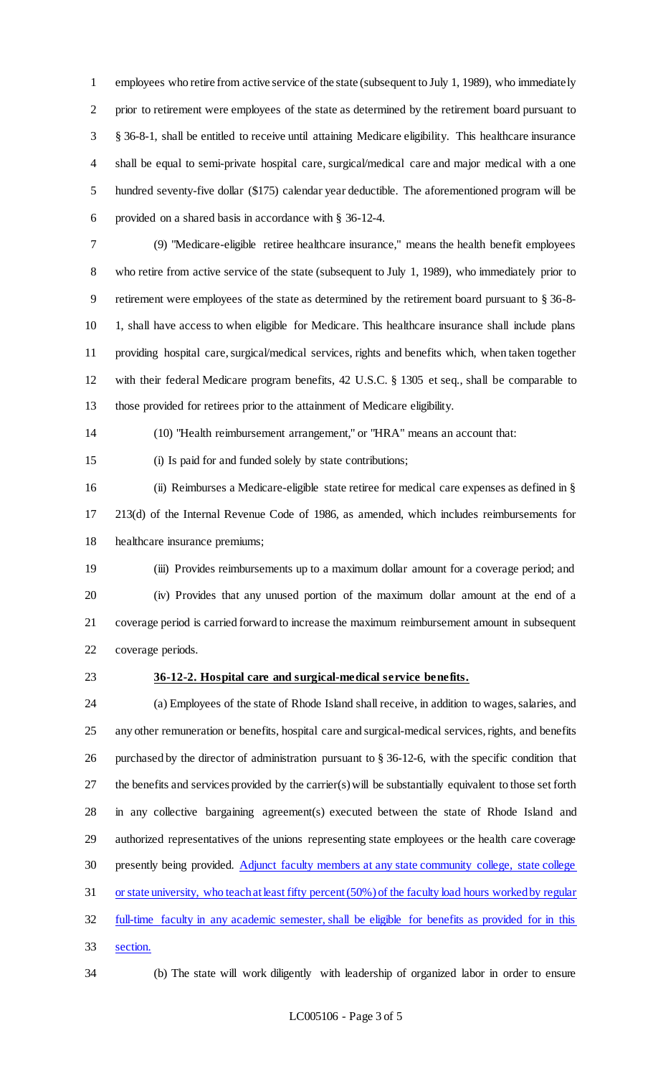employees who retire from active service of the state (subsequent to July 1, 1989), who immediately prior to retirement were employees of the state as determined by the retirement board pursuant to § 36-8-1, shall be entitled to receive until attaining Medicare eligibility. This healthcare insurance shall be equal to semi-private hospital care, surgical/medical care and major medical with a one hundred seventy-five dollar (\$175) calendar year deductible. The aforementioned program will be provided on a shared basis in accordance with § 36-12-4.

 (9) "Medicare-eligible retiree healthcare insurance," means the health benefit employees who retire from active service of the state (subsequent to July 1, 1989), who immediately prior to retirement were employees of the state as determined by the retirement board pursuant to § 36-8- 10 1, shall have access to when eligible for Medicare. This healthcare insurance shall include plans providing hospital care, surgical/medical services, rights and benefits which, when taken together with their federal Medicare program benefits, 42 U.S.C. § 1305 et seq., shall be comparable to those provided for retirees prior to the attainment of Medicare eligibility.

(10) "Health reimbursement arrangement," or "HRA" means an account that:

(i) Is paid for and funded solely by state contributions;

 (ii) Reimburses a Medicare-eligible state retiree for medical care expenses as defined in § 213(d) of the Internal Revenue Code of 1986, as amended, which includes reimbursements for healthcare insurance premiums;

 (iii) Provides reimbursements up to a maximum dollar amount for a coverage period; and (iv) Provides that any unused portion of the maximum dollar amount at the end of a coverage period is carried forward to increase the maximum reimbursement amount in subsequent coverage periods.

#### **36-12-2. Hospital care and surgical-medical service benefits.**

 (a) Employees of the state of Rhode Island shall receive, in addition to wages, salaries, and any other remuneration or benefits, hospital care and surgical-medical services, rights, and benefits purchased by the director of administration pursuant to § 36-12-6, with the specific condition that the benefits and services provided by the carrier(s) will be substantially equivalent to those set forth in any collective bargaining agreement(s) executed between the state of Rhode Island and authorized representatives of the unions representing state employees or the health care coverage 30 presently being provided. Adjunct faculty members at any state community college, state college or state university, who teach at least fifty percent (50%) of the faculty load hours worked by regular full-time faculty in any academic semester, shall be eligible for benefits as provided for in this section.

(b) The state will work diligently with leadership of organized labor in order to ensure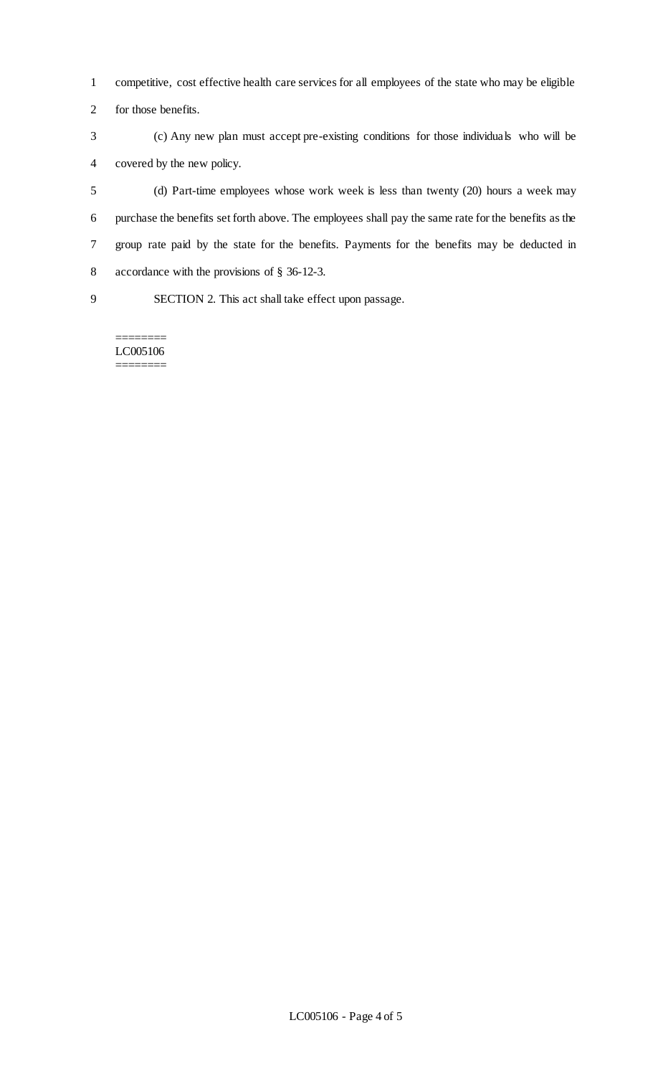- competitive, cost effective health care services for all employees of the state who may be eligible
- for those benefits.
- (c) Any new plan must accept pre-existing conditions for those individuals who will be covered by the new policy.
- (d) Part-time employees whose work week is less than twenty (20) hours a week may purchase the benefits set forth above. The employees shall pay the same rate for the benefits as the group rate paid by the state for the benefits. Payments for the benefits may be deducted in accordance with the provisions of § 36-12-3.
- 

SECTION 2. This act shall take effect upon passage.

======== LC005106 ========